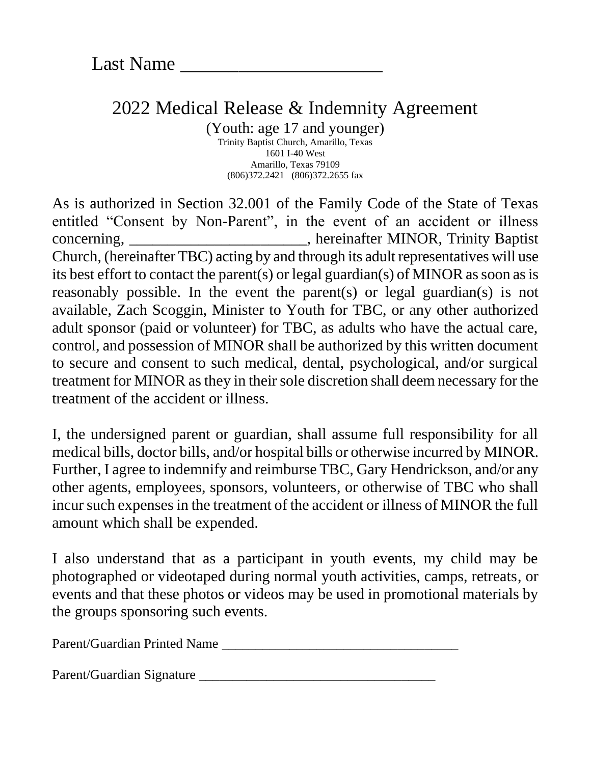## 2022 Medical Release & Indemnity Agreement

(Youth: age 17 and younger) Trinity Baptist Church, Amarillo, Texas 1601 I-40 West Amarillo, Texas 79109 (806)372.2421 (806)372.2655 fax

As is authorized in Section 32.001 of the Family Code of the State of Texas entitled "Consent by Non-Parent", in the event of an accident or illness concerning, \_\_\_\_\_\_\_\_\_\_\_\_\_\_\_\_\_\_\_\_\_\_\_, hereinafter MINOR, Trinity Baptist Church, (hereinafter TBC) acting by and through its adult representatives will use its best effort to contact the parent(s) or legal guardian(s) of MINOR as soon as is reasonably possible. In the event the parent(s) or legal guardian(s) is not available, Zach Scoggin, Minister to Youth for TBC, or any other authorized adult sponsor (paid or volunteer) for TBC, as adults who have the actual care, control, and possession of MINOR shall be authorized by this written document to secure and consent to such medical, dental, psychological, and/or surgical treatment for MINOR as they in their sole discretion shall deem necessary for the treatment of the accident or illness.

I, the undersigned parent or guardian, shall assume full responsibility for all medical bills, doctor bills, and/or hospital bills or otherwise incurred by MINOR. Further, I agree to indemnify and reimburse TBC, Gary Hendrickson, and/or any other agents, employees, sponsors, volunteers, or otherwise of TBC who shall incur such expenses in the treatment of the accident or illness of MINOR the full amount which shall be expended.

I also understand that as a participant in youth events, my child may be photographed or videotaped during normal youth activities, camps, retreats, or events and that these photos or videos may be used in promotional materials by the groups sponsoring such events.

Parent/Guardian Printed Name \_\_\_\_\_\_\_\_\_\_\_\_\_\_\_\_\_\_\_\_\_\_\_\_\_\_\_\_\_\_\_\_\_\_\_

Parent/Guardian Signature \_\_\_\_\_\_\_\_\_\_\_\_\_\_\_\_\_\_\_\_\_\_\_\_\_\_\_\_\_\_\_\_\_\_\_